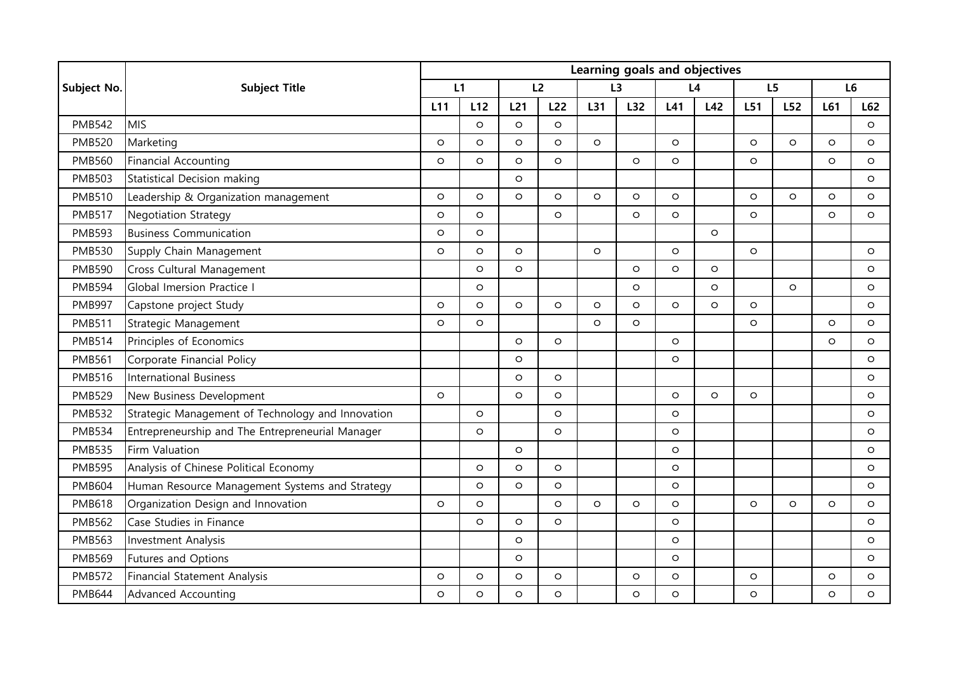|               | <b>Subject Title</b>                              | Learning goals and objectives |         |                 |         |         |         |         |         |         |         |                |         |
|---------------|---------------------------------------------------|-------------------------------|---------|-----------------|---------|---------|---------|---------|---------|---------|---------|----------------|---------|
| Subject No.   |                                                   | L1                            |         | L2              |         | L3      |         | L4      |         | L5      |         | L <sub>6</sub> |         |
|               |                                                   | L11                           | L12     | L <sub>21</sub> | L22     | L31     | L32     | L41     | L42     | L51     | L52     | L61            | L62     |
| <b>PMB542</b> | <b>MIS</b>                                        |                               | $\circ$ | $\circ$         | $\circ$ |         |         |         |         |         |         |                | $\circ$ |
| <b>PMB520</b> | Marketing                                         | $\circ$                       | $\circ$ | $\circ$         | $\circ$ | $\circ$ |         | $\circ$ |         | $\circ$ | $\circ$ | $\circ$        | $\circ$ |
| <b>PMB560</b> | <b>Financial Accounting</b>                       | $\circ$                       | $\circ$ | $\circ$         | $\circ$ |         | $\circ$ | $\circ$ |         | $\circ$ |         | $\circ$        | $\circ$ |
| <b>PMB503</b> | <b>Statistical Decision making</b>                |                               |         | $\circ$         |         |         |         |         |         |         |         |                | $\circ$ |
| <b>PMB510</b> | Leadership & Organization management              | $\circ$                       | $\circ$ | $\circ$         | $\circ$ | $\circ$ | $\circ$ | $\circ$ |         | $\circ$ | $\circ$ | $\circ$        | $\circ$ |
| <b>PMB517</b> | <b>Negotiation Strategy</b>                       | $\circ$                       | $\circ$ |                 | $\circ$ |         | $\circ$ | $\circ$ |         | $\circ$ |         | $\circ$        | $\circ$ |
| <b>PMB593</b> | <b>Business Communication</b>                     | $\circ$                       | $\circ$ |                 |         |         |         |         | $\circ$ |         |         |                |         |
| <b>PMB530</b> | Supply Chain Management                           | $\circ$                       | $\circ$ | $\circ$         |         | O       |         | $\circ$ |         | $\circ$ |         |                | $\circ$ |
| <b>PMB590</b> | Cross Cultural Management                         |                               | $\circ$ | $\circ$         |         |         | $\circ$ | $\circ$ | $\circ$ |         |         |                | $\circ$ |
| <b>PMB594</b> | Global Imersion Practice I                        |                               | $\circ$ |                 |         |         | O       |         | $\circ$ |         | $\circ$ |                | $\circ$ |
| <b>PMB997</b> | Capstone project Study                            | $\circ$                       | $\circ$ | $\circ$         | $\circ$ | O       | O       | $\circ$ | $\circ$ | $\circ$ |         |                | $\circ$ |
| <b>PMB511</b> | Strategic Management                              | O                             | $\circ$ |                 |         | O       | O       |         |         | $\circ$ |         | $\circ$        | $\circ$ |
| <b>PMB514</b> | Principles of Economics                           |                               |         | $\circ$         | $\circ$ |         |         | $\circ$ |         |         |         | $\circ$        | $\circ$ |
| <b>PMB561</b> | Corporate Financial Policy                        |                               |         | $\circ$         |         |         |         | $\circ$ |         |         |         |                | $\circ$ |
| <b>PMB516</b> | <b>International Business</b>                     |                               |         | $\circ$         | $\circ$ |         |         |         |         |         |         |                | $\circ$ |
| <b>PMB529</b> | New Business Development                          | $\circ$                       |         | $\circ$         | $\circ$ |         |         | $\circ$ | $\circ$ | $\circ$ |         |                | $\circ$ |
| <b>PMB532</b> | Strategic Management of Technology and Innovation |                               | $\circ$ |                 | $\circ$ |         |         | $\circ$ |         |         |         |                | $\circ$ |
| <b>PMB534</b> | Entrepreneurship and The Entrepreneurial Manager  |                               | $\circ$ |                 | $\circ$ |         |         | $\circ$ |         |         |         |                | $\circ$ |
| <b>PMB535</b> | Firm Valuation                                    |                               |         | $\circ$         |         |         |         | $\circ$ |         |         |         |                | $\circ$ |
| <b>PMB595</b> | Analysis of Chinese Political Economy             |                               | $\circ$ | $\circ$         | $\circ$ |         |         | $\circ$ |         |         |         |                | $\circ$ |
| <b>PMB604</b> | Human Resource Management Systems and Strategy    |                               | $\circ$ | $\circ$         | $\circ$ |         |         | $\circ$ |         |         |         |                | $\circ$ |
| <b>PMB618</b> | Organization Design and Innovation                | $\circ$                       | $\circ$ |                 | $\circ$ | O       | O       | $\circ$ |         | $\circ$ | $\circ$ | $\circ$        | $\circ$ |
| <b>PMB562</b> | Case Studies in Finance                           |                               | $\circ$ | $\circ$         | $\circ$ |         |         | $\circ$ |         |         |         |                | $\circ$ |
| <b>PMB563</b> | <b>Investment Analysis</b>                        |                               |         | $\circ$         |         |         |         | $\circ$ |         |         |         |                | $\circ$ |
| <b>PMB569</b> | Futures and Options                               |                               |         | $\circ$         |         |         |         | $\circ$ |         |         |         |                | $\circ$ |
| <b>PMB572</b> | <b>Financial Statement Analysis</b>               | $\circ$                       | $\circ$ | O               | $\circ$ |         | $\circ$ | $\circ$ |         | $\circ$ |         | O              | $\circ$ |
| <b>PMB644</b> | <b>Advanced Accounting</b>                        | $\circ$                       | $\circ$ | $\circ$         | $\circ$ |         | O       | $\circ$ |         | $\circ$ |         | $\circ$        | $\circ$ |